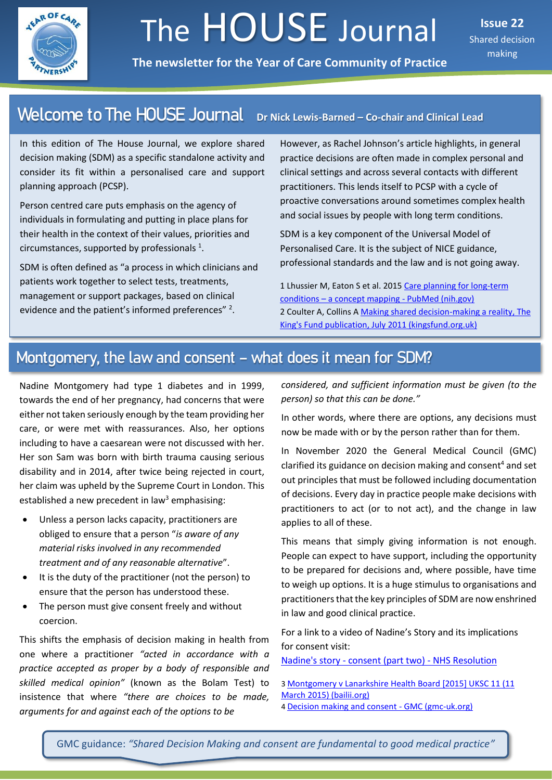

# The HOUSE Journal

**The newsletter for the Year of Care Community of Practice**

**Issue 22** Shared decision making

#### Dr Nick Lewis-Barned - Co-chair and Clinical Lead **Welcome to The HOUSE Journal**

In this edition of The House Journal, we explore shared decision making (SDM) as a specific standalone activity and consider its fit within a personalised care and support planning approach (PCSP).

Person centred care puts emphasis on the agency of individuals in formulating and putting in place plans for their health in the context of their values, priorities and circumstances, supported by professionals  $1$ .

SDM is often defined as "a process in which clinicians and patients work together to select tests, treatments, management or support packages, based on clinical evidence and the patient's informed preferences" <sup>2</sup>.

However, as Rachel Johnson's article highlights, in general practice decisions are often made in complex personal and clinical settings and across several contacts with different practitioners. This lends itself to PCSP with a cycle of proactive conversations around sometimes complex health and social issues by people with long term conditions.

SDM is a key component of the Universal Model of Personalised Care. It is the subject of NICE guidance, professional standards and the law and is not going away.

1 Lhussier M, Eaton S et al. 2015 [Care planning for long-term](https://pubmed.ncbi.nlm.nih.gov/23565881/)  conditions – [a concept mapping -](https://pubmed.ncbi.nlm.nih.gov/23565881/) PubMed (nih.gov) 2 Coulter A, Collins A [Making shared decision-making a reality, The](https://www.kingsfund.org.uk/sites/default/files/Making-shared-decision-making-a-reality-paper-Angela-Coulter-Alf-Collins-July-2011_0.pdf)  [King's Fund publication, July 2011 \(kingsfund.org.uk\)](https://www.kingsfund.org.uk/sites/default/files/Making-shared-decision-making-a-reality-paper-Angela-Coulter-Alf-Collins-July-2011_0.pdf)

### Montgomery, the law and consent – what does it mean for SDM?

Nadine Montgomery had type 1 diabetes and in 1999, towards the end of her pregnancy, had concerns that were either not taken seriously enough by the team providing her care, or were met with reassurances. Also, her options including to have a caesarean were not discussed with her. Her son Sam was born with birth trauma causing serious disability and in 2014, after twice being rejected in court, her claim was upheld by the Supreme Court in London. This established a new precedent in law<sup>3</sup> emphasising:

- Unless a person lacks capacity, practitioners are obliged to ensure that a person "*is aware of any material risks involved in any recommended treatment and of any reasonable alternative*".
- It is the duty of the practitioner (not the person) to ensure that the person has understood these.
- The person must give consent freely and without coercion.

This shifts the emphasis of decision making in health from one where a practitioner *"acted in accordance with a practice accepted as proper by a body of responsible and skilled medical opinion"* (known as the Bolam Test) to insistence that where *"there are choices to be made, arguments for and against each of the options to be*

*considered, and sufficient information must be given (to the person) so that this can be done."*

In other words, where there are options, any decisions must now be made with or by the person rather than for them.

In November 2020 the General Medical Council (GMC) clarified its guidance on decision making and consent <sup>4</sup> and set out principles that must be followed including documentation of decisions. Every day in practice people make decisions with practitioners to act (or to not act), and the change in law applies to all of these.

This means that simply giving information is not enough. People can expect to have support, including the opportunity to be prepared for decisions and, where possible, have time to weigh up options. It is a huge stimulus to organisations and practitioners that the key principles of SDM are now enshrined in law and good clinical practice.

For a link to a video of Nadine's Story and its implications for consent visit:

Nadine's story - [consent \(part two\) -](https://resolution.nhs.uk/resources/nadines-story-consent/) NHS Resolution

- 3 [Montgomery v Lanarkshire Health Board \[2015\] UKSC 11 \(11](http://www.bailii.org/uk/cases/UKSC/2015/11.html)  [March 2015\) \(bailii.org\)](http://www.bailii.org/uk/cases/UKSC/2015/11.html)
- 4 [Decision making and consent -](https://www.gmc-uk.org/ethical-guidance/ethical-guidance-for-doctors/decision-making-and-consent) GMC (gmc-uk.org)

GMC guidance: *"Shared Decision Making and consent are fundamental to good medical practice"*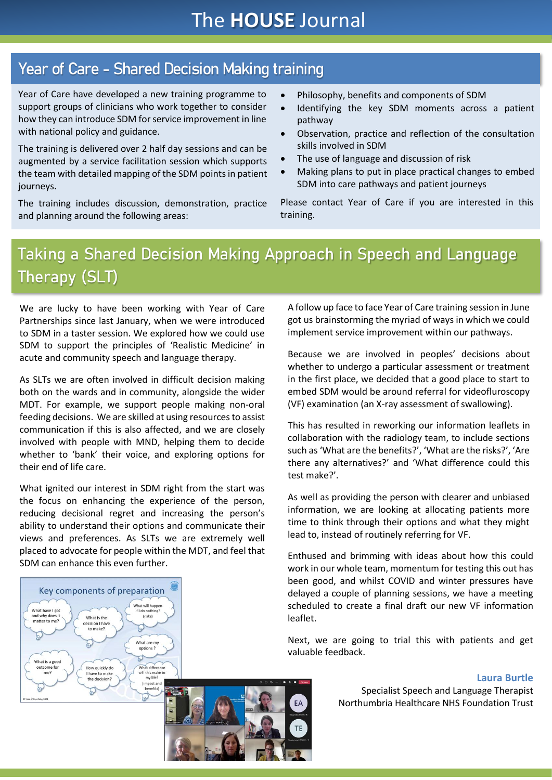# Year of Care - Shared Decision Making training

Year of Care have developed a new training programme to support groups of clinicians who work together to consider how they can introduce SDM for service improvement in line with national policy and guidance.

The training is delivered over 2 half day sessions and can be augmented by a service facilitation session which supports the team with detailed mapping of the SDM points in patient journeys.

The training includes discussion, demonstration, practice and planning around the following areas:

• Philosophy, benefits and components of SDM

- Identifying the key SDM moments across a patient pathway
- Observation, practice and reflection of the consultation skills involved in SDM
- The use of language and discussion of risk
- Making plans to put in place practical changes to embed SDM into care pathways and patient journeys

Please contact Year of Care if you are interested in this training.

# Taking a Shared Decision Making Approach in Speech and Language Therapy (SLT)

We are lucky to have been working with Year of Care Partnerships since last January, when we were introduced to SDM in a taster session. We explored how we could use SDM to support the principles of 'Realistic Medicine' in acute and community speech and language therapy.

As SLTs we are often involved in difficult decision making both on the wards and in community, alongside the wider MDT. For example, we support people making non-oral feeding decisions. We are skilled at using resources to assist communication if this is also affected, and we are closely involved with people with MND, helping them to decide whether to 'bank' their voice, and exploring options for their end of life care.

What ignited our interest in SDM right from the start was the focus on enhancing the experience of the person, reducing decisional regret and increasing the person's ability to understand their options and communicate their views and preferences. As SLTs we are extremely well placed to advocate for people within the MDT, and feel that SDM can enhance this even further.

(risks)

What are my options

What different

will this

Key components of preparation What will hann What have I got if I do nothing and why de

What is the

vviiat is the<br>ecision I have<br>to make?

How quickly do

the decision

ive to mak

matter to me?

What is a good outcome fo

 $m<sub>P</sub>$ 

A follow up face to face Year of Care training session in June got us brainstorming the myriad of ways in which we could implement service improvement within our pathways.

Because we are involved in peoples' decisions about whether to undergo a particular assessment or treatment in the first place, we decided that a good place to start to embed SDM would be around referral for videofluroscopy (VF) examination (an X-ray assessment of swallowing).

This has resulted in reworking our information leaflets in collaboration with the radiology team, to include sections such as 'What are the benefits?', 'What are the risks?', 'Are there any alternatives?' and 'What difference could this test make?'.

As well as providing the person with clearer and unbiased information, we are looking at allocating patients more time to think through their options and what they might lead to, instead of routinely referring for VF.

Enthused and brimming with ideas about how this could work in our whole team, momentum for testing this out has been good, and whilst COVID and winter pressures have delayed a couple of planning sessions, we have a meeting scheduled to create a final draft our new VF information leaflet.

Next, we are going to trial this with patients and get valuable feedback.

### **Laura Burtle**

Specialist Speech and Language Therapist Northumbria Healthcare NHS Foundation Trust

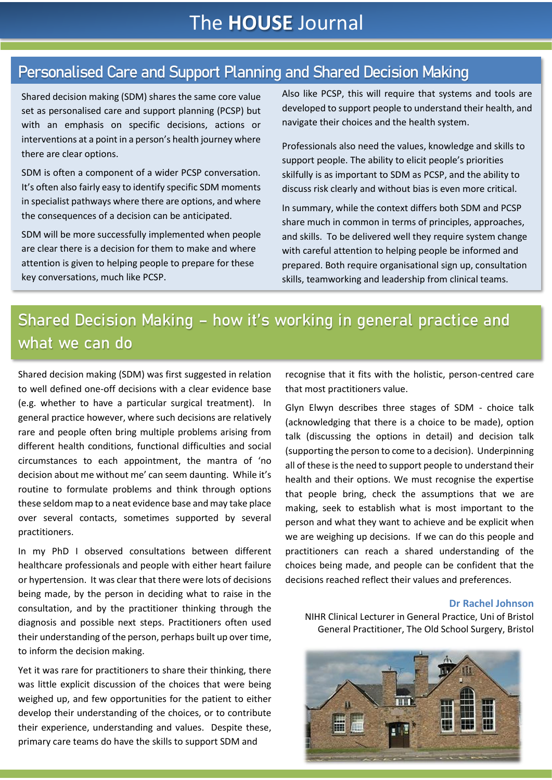# The **HOUSE** Journal

## Personalised Care and Support Planning and Shared Decision Making

Shared decision making (SDM) shares the same core value set as personalised care and support planning (PCSP) but with an emphasis on specific decisions, actions or interventions at a point in a person's health journey where there are clear options.

SDM is often a component of a wider PCSP conversation. It's often also fairly easy to identify specific SDM moments in specialist pathways where there are options, and where the consequences of a decision can be anticipated.

SDM will be more successfully implemented when people are clear there is a decision for them to make and where attention is given to helping people to prepare for these key conversations, much like PCSP.

Also like PCSP, this will require that systems and tools are developed to support people to understand their health, and navigate their choices and the health system.

Professionals also need the values, knowledge and skills to support people. The ability to elicit people's priorities skilfully is as important to SDM as PCSP, and the ability to discuss risk clearly and without bias is even more critical.

In summary, while the context differs both SDM and PCSP share much in common in terms of principles, approaches, and skills. To be delivered well they require system change with careful attention to helping people be informed and prepared. Both require organisational sign up, consultation skills, teamworking and leadership from clinical teams.

# Shared Decision Making – how it's working in general practice and what we can do

Shared decision making (SDM) was first suggested in relation to well defined one-off decisions with a clear evidence base (e.g. whether to have a particular surgical treatment). In general practice however, where such decisions are relatively rare and people often bring multiple problems arising from different health conditions, functional difficulties and social circumstances to each appointment, the mantra of 'no decision about me without me' can seem daunting. While it's routine to formulate problems and think through options these seldom map to a neat evidence base and may take place over several contacts, sometimes supported by several practitioners.

In my PhD I observed consultations between different healthcare professionals and people with either heart failure or hypertension. It was clear that there were lots of decisions being made, by the person in deciding what to raise in the consultation, and by the practitioner thinking through the diagnosis and possible next steps. Practitioners often used their understanding of the person, perhaps built up over time, to inform the decision making.

Yet it was rare for practitioners to share their thinking, there was little explicit discussion of the choices that were being weighed up, and few opportunities for the patient to either develop their understanding of the choices, or to contribute their experience, understanding and values. Despite these, primary care teams do have the skills to support SDM and

recognise that it fits with the holistic, person-centred care that most practitioners value.

Glyn Elwyn describes three stages of SDM - choice talk (acknowledging that there is a choice to be made), option talk (discussing the options in detail) and decision talk (supporting the person to come to a decision). Underpinning all of these is the need to support people to understand their health and their options. We must recognise the expertise that people bring, check the assumptions that we are making, seek to establish what is most important to the person and what they want to achieve and be explicit when we are weighing up decisions. If we can do this people and practitioners can reach a shared understanding of the choices being made, and people can be confident that the decisions reached reflect their values and preferences.

### **Dr Rachel Johnson**

NIHR Clinical Lecturer in General Practice, Uni of Bristol General Practitioner, The Old School Surgery, Bristol